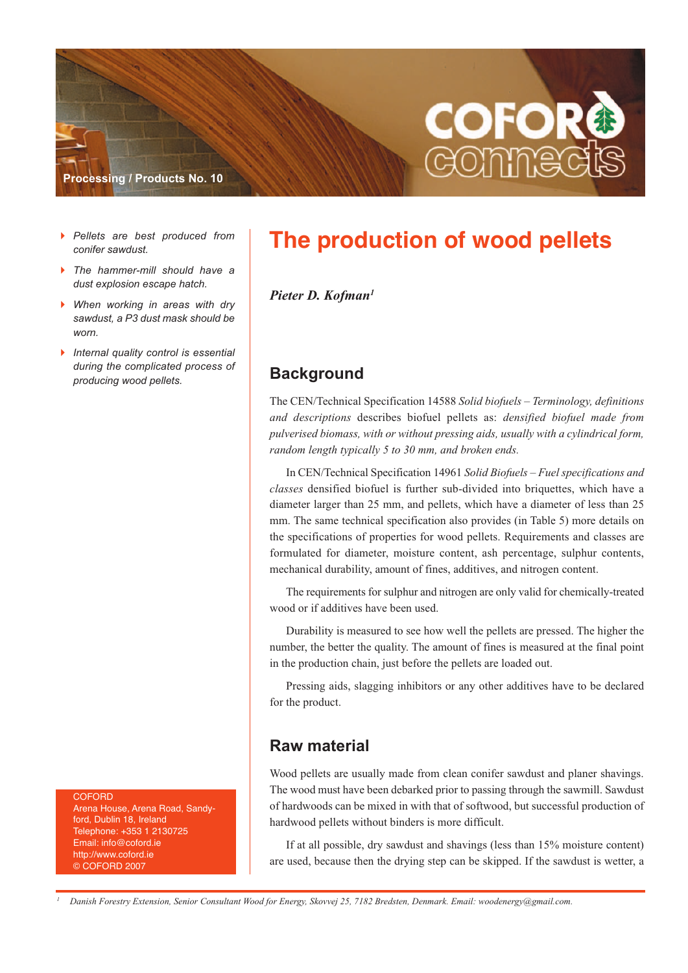

- $\blacktriangleright$  *Pellets are best produced from conifer sawdust.*
- $\blacktriangleright$  *The hammer-mill should have a dust explosion escape hatch.*
- $\blacktriangleright$  *When working in areas with dry sawdust, a P3 dust mask should be worn.*
- - *Internal quality control is essential during the complicated process of producing wood pellets.*

**COFORD** 

Arena House, Arena Road, Sandyford, Dublin 18, Ireland Telephone: +353 1 2130725 Email: info@coford.ie http://www.coford.ie © COFORD 2007

# **The production of wood pellets**

*Pieter D. Kofman1*

### **Background**

The CEN/Technical Specification 14588 *Solid biofuels – Terminology, definitions and descriptions* describes biofuel pellets as: *densified biofuel made from pulverised biomass, with or without pressing aids, usually with a cylindrical form, random length typically 5 to 30 mm, and broken ends.*

In CEN/Technical Specification 14961 *Solid Biofuels – Fuel specifications and classes* densified biofuel is further sub-divided into briquettes, which have a diameter larger than 25 mm, and pellets, which have a diameter of less than 25 mm. The same technical specification also provides (in Table 5) more details on the specifications of properties for wood pellets. Requirements and classes are formulated for diameter, moisture content, ash percentage, sulphur contents, mechanical durability, amount of fines, additives, and nitrogen content.

The requirements for sulphur and nitrogen are only valid for chemically-treated wood or if additives have been used.

Durability is measured to see how well the pellets are pressed. The higher the number, the better the quality. The amount of fines is measured at the final point in the production chain, just before the pellets are loaded out.

Pressing aids, slagging inhibitors or any other additives have to be declared for the product.

#### **Raw material**

Wood pellets are usually made from clean conifer sawdust and planer shavings. The wood must have been debarked prior to passing through the sawmill. Sawdust of hardwoods can be mixed in with that of softwood, but successful production of hardwood pellets without binders is more difficult.

If at all possible, dry sawdust and shavings (less than 15% moisture content) are used, because then the drying step can be skipped. If the sawdust is wetter, a

Danish Forestry Extension, Senior Consultant Wood for Energy, Skovvej 25, 7182 Bredsten, Denmark. Email: woodenergy@gmail.com.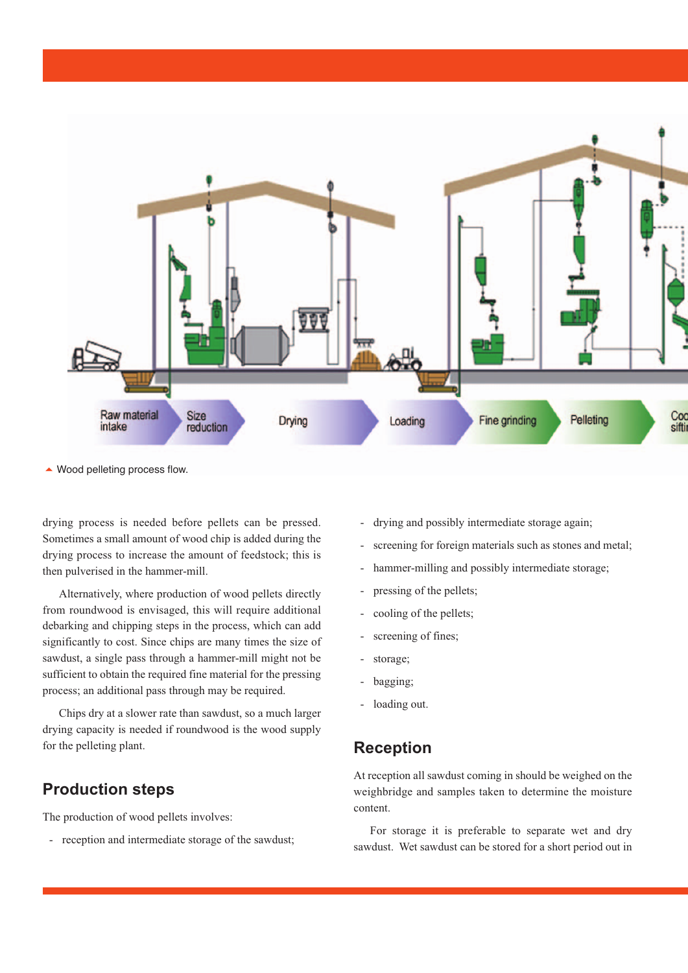

▲ Wood pelleting process flow.

drying process is needed before pellets can be pressed. Sometimes a small amount of wood chip is added during the drying process to increase the amount of feedstock; this is then pulverised in the hammer-mill.

Alternatively, where production of wood pellets directly from roundwood is envisaged, this will require additional debarking and chipping steps in the process, which can add significantly to cost. Since chips are many times the size of sawdust, a single pass through a hammer-mill might not be sufficient to obtain the required fine material for the pressing process; an additional pass through may be required.

Chips dry at a slower rate than sawdust, so a much larger drying capacity is needed if roundwood is the wood supply for the pelleting plant.

## **Production steps**

The production of wood pellets involves:

- reception and intermediate storage of the sawdust;

- drying and possibly intermediate storage again;
- screening for foreign materials such as stones and metal;
- hammer-milling and possibly intermediate storage;
- pressing of the pellets;
- cooling of the pellets;
- screening of fines;
- storage;
- bagging;
- loading out.

#### **Reception**

At reception all sawdust coming in should be weighed on the weighbridge and samples taken to determine the moisture content.

For storage it is preferable to separate wet and dry sawdust. Wet sawdust can be stored for a short period out in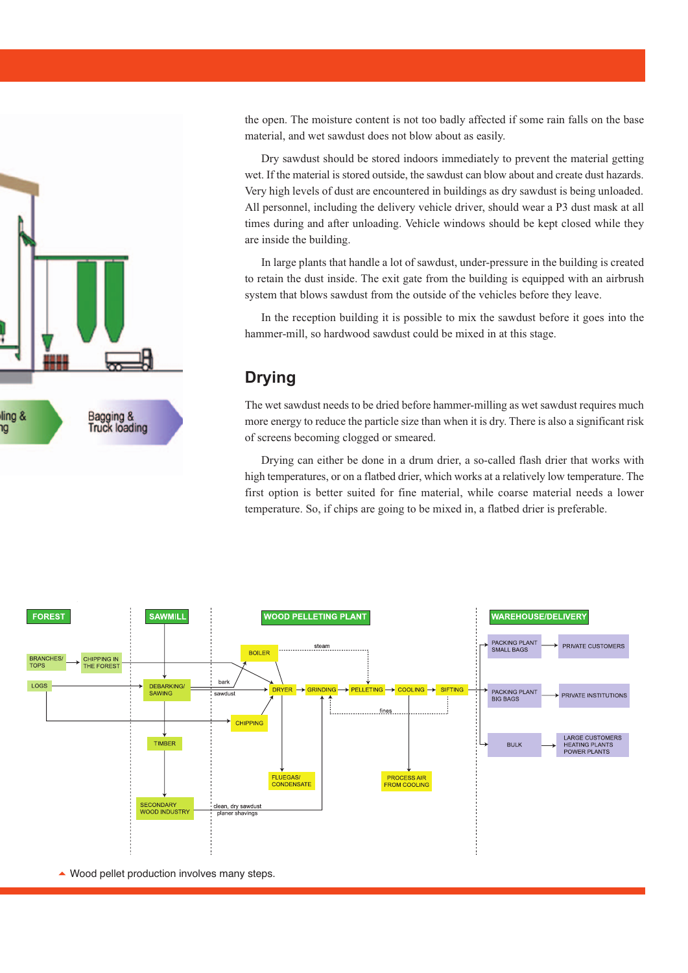

the open. The moisture content is not too badly affected if some rain falls on the base material, and wet sawdust does not blow about as easily.

Dry sawdust should be stored indoors immediately to prevent the material getting wet. If the material is stored outside, the sawdust can blow about and create dust hazards. Very high levels of dust are encountered in buildings as dry sawdust is being unloaded. All personnel, including the delivery vehicle driver, should wear a P3 dust mask at all times during and after unloading. Vehicle windows should be kept closed while they are inside the building.

In large plants that handle a lot of sawdust, under-pressure in the building is created to retain the dust inside. The exit gate from the building is equipped with an airbrush system that blows sawdust from the outside of the vehicles before they leave.

In the reception building it is possible to mix the sawdust before it goes into the hammer-mill, so hardwood sawdust could be mixed in at this stage.

#### **Drying**

The wet sawdust needs to be dried before hammer-milling as wet sawdust requires much more energy to reduce the particle size than when it is dry. There is also a significant risk of screens becoming clogged or smeared.

Drying can either be done in a drum drier, a so-called flash drier that works with high temperatures, or on a flatbed drier, which works at a relatively low temperature. The first option is better suited for fine material, while coarse material needs a lower temperature. So, if chips are going to be mixed in, a flatbed drier is preferable.



▲ Wood pellet production involves many steps.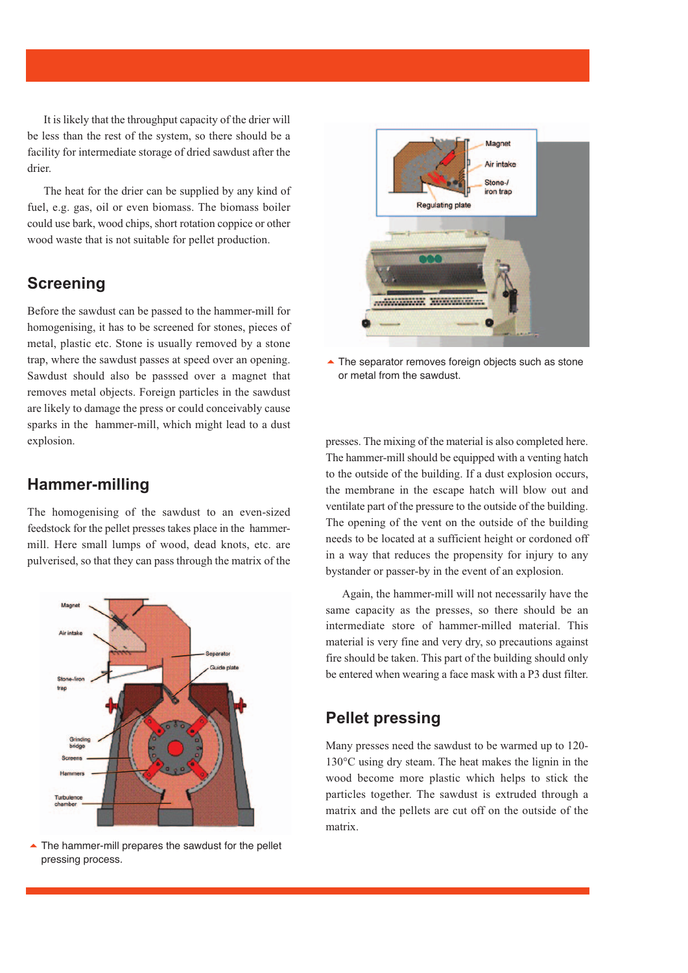It is likely that the throughput capacity of the drier will be less than the rest of the system, so there should be a facility for intermediate storage of dried sawdust after the drier.

The heat for the drier can be supplied by any kind of fuel, e.g. gas, oil or even biomass. The biomass boiler could use bark, wood chips, short rotation coppice or other wood waste that is not suitable for pellet production.

### **Screening**

Before the sawdust can be passed to the hammer-mill for homogenising, it has to be screened for stones, pieces of metal, plastic etc. Stone is usually removed by a stone trap, where the sawdust passes at speed over an opening. Sawdust should also be passsed over a magnet that removes metal objects. Foreign particles in the sawdust are likely to damage the press or could conceivably cause sparks in the hammer-mill, which might lead to a dust explosion.

#### **Hammer-milling**

The homogenising of the sawdust to an even-sized feedstock for the pellet presses takes place in the hammermill. Here small lumps of wood, dead knots, etc. are pulverised, so that they can pass through the matrix of the



The hammer-mill prepares the sawdust for the pellet pressing process.



**▲ The separator removes foreign objects such as stone** or metal from the sawdust.

presses. The mixing of the material is also completed here. The hammer-mill should be equipped with a venting hatch to the outside of the building. If a dust explosion occurs, the membrane in the escape hatch will blow out and ventilate part of the pressure to the outside of the building. The opening of the vent on the outside of the building needs to be located at a sufficient height or cordoned off in a way that reduces the propensity for injury to any bystander or passer-by in the event of an explosion.

Again, the hammer-mill will not necessarily have the same capacity as the presses, so there should be an intermediate store of hammer-milled material. This material is very fine and very dry, so precautions against fire should be taken. This part of the building should only be entered when wearing a face mask with a P3 dust filter.

#### **Pellet pressing**

Many presses need the sawdust to be warmed up to 120- 130°C using dry steam. The heat makes the lignin in the wood become more plastic which helps to stick the particles together. The sawdust is extruded through a matrix and the pellets are cut off on the outside of the matrix.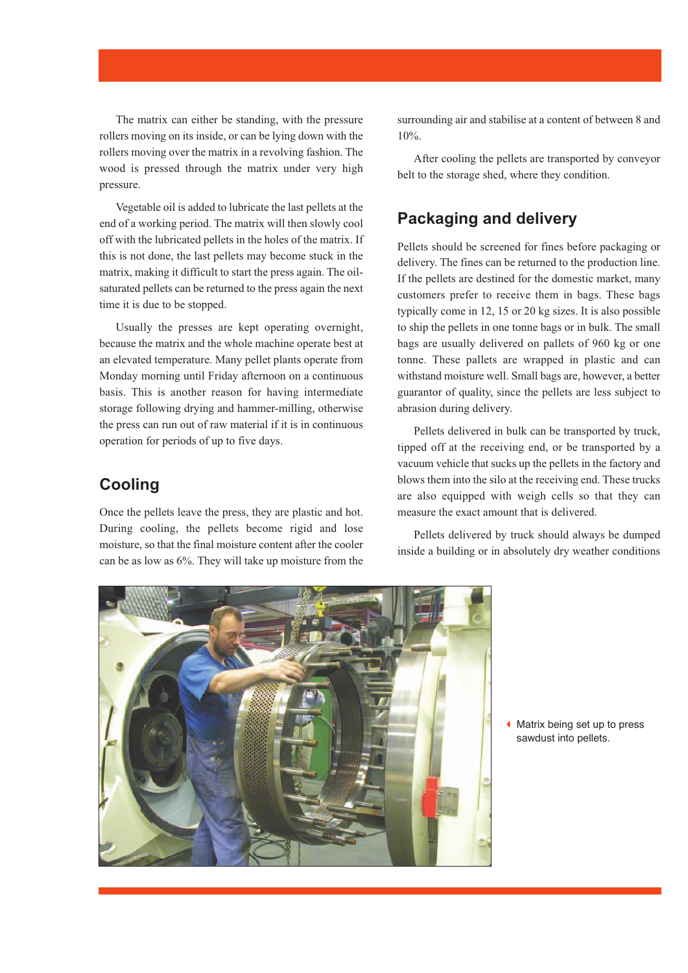The matrix can either be standing, with the pressure rollers moving on its inside, or can be lying down with the rollers moving over the matrix in a revolving fashion. The wood is pressed through the matrix under very high pressure.

Vegetable oil is added to lubricate the last pellets at the end of a working period. The matrix will then slowly cool off with the lubricated pellets in the holes of the matrix. If this is not done, the last pellets may become stuck in the matrix, making it difficult to start the press again. The oilsaturated pellets can be returned to the press again the next time it is due to be stopped.

Usually the presses are kept operating overnight, because the matrix and the whole machine operate best at an elevated temperature. Many pellet plants operate from Monday morning until Friday afternoon on a continuous basis. This is another reason for having intermediate storage following drying and hammer-milling, otherwise the press can run out of raw material if it is in continuous operation for periods of up to five days.

#### **Cooling**

Once the pellets leave the press, they are plastic and hot. During cooling, the pellets become rigid and lose moisture, so that the final moisture content after the cooler can be as low as 6%. They will take up moisture from the surrounding air and stabilise at a content of between 8 and 10%.

After cooling the pellets are transported by conveyor belt to the storage shed, where they condition.

#### **Packaging and delivery**

Pellets should be screened for fines before packaging or delivery. The fines can be returned to the production line. If the pellets are destined for the domestic market, many customers prefer to receive them in bags. These bags typically come in 12, 15 or 20 kg sizes. It is also possible to ship the pellets in one tonne bags or in bulk. The small bags are usually delivered on pallets of 960 kg or one tonne. These pallets are wrapped in plastic and can withstand moisture well. Small bags are, however, a better guarantor of quality, since the pellets are less subject to abrasion during delivery.

Pellets delivered in bulk can be transported by truck, tipped off at the receiving end, or be transported by a vacuum vehicle that sucks up the pellets in the factory and blows them into the silo at the receiving end. These trucks are also equipped with weigh cells so that they can measure the exact amount that is delivered.

Pellets delivered by truck should always be dumped inside a building or in absolutely dry weather conditions



Matrix being set up to press sawdust into pellets.